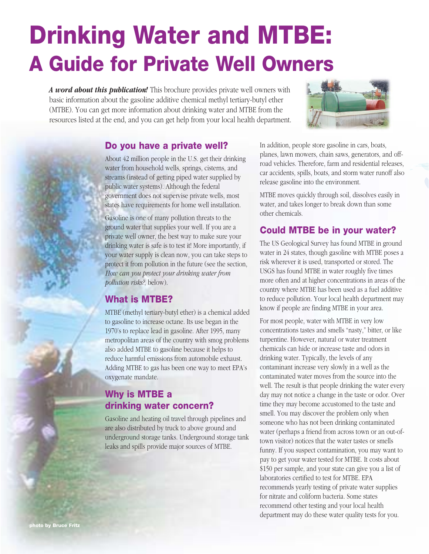# **Drinking Water and MTBE: A Guide for Private Well Owners**

*A word about this publication!* This brochure provides private well owners with basic information about the gasoline additive chemical methyl tertiary-butyl ether (MTBE). You can get more information about drinking water and MTBE from the resources listed at the end, and you can get help from your local health department.



#### **Do you have a private well?**

About 42 million people in the U.S. get their drinking water from household wells, springs, cisterns, and streams (instead of getting piped water supplied by public water systems). Although the federal government does not supervise private wells, most states have requirements for home well installation.

Gasoline is one of many pollution threats to the ground water that supplies your well. If you are a private well owner, the best way to make sure your drinking water is safe is to test it! More importantly, if your water supply is clean now, you can take steps to protect it from pollution in the future (see the section, *How can you protect your drinking water from pollution risks?*, below).

#### **What is MTBE?**

MTBE (methyl tertiary-butyl ether) is a chemical added to gasoline to increase octane. Its use began in the 1970's to replace lead in gasoline. After 1995, many metropolitan areas of the country with smog problems also added MTBE to gasoline because it helps to reduce harmful emissions from automobile exhaust. Adding MTBE to gas has been one way to meet EPA's oxygenate mandate.

# **Why is MTBE a drinking water concern?**

Gasoline and heating oil travel through pipelines and are also distributed by truck to above ground and underground storage tanks. Underground storage tank leaks and spills provide major sources of MTBE.

In addition, people store gasoline in cars, boats, planes, lawn mowers, chain saws, generators, and offroad vehicles. Therefore, farm and residential releases, car accidents, spills, boats, and storm water runoff also release gasoline into the environment.

MTBE moves quickly through soil, dissolves easily in water, and takes longer to break down than some other chemicals.

# **Could MTBE be in your water?**

The US Geological Survey has found MTBE in ground water in 24 states, though gasoline with MTBE poses a risk wherever it is used, transported or stored. The USGS has found MTBE in water roughly five times more often and at higher concentrations in areas of the country where MTBE has been used as a fuel additive to reduce pollution. Your local health department may know if people are finding MTBE in your area.

For most people, water with MTBE in very low concentrations tastes and smells "nasty," bitter, or like turpentine. However, natural or water treatment chemicals can hide or increase taste and odors in drinking water. Typically, the levels of any contaminant increase very slowly in a well as the contaminated water moves from the source into the well. The result is that people drinking the water every day may not notice a change in the taste or odor. Over time they may become accustomed to the taste and smell. You may discover the problem only when someone who has not been drinking contaminated water (perhaps a friend from across town or an out-oftown visitor) notices that the water tastes or smells funny. If you suspect contamination, you may want to pay to get your water tested for MTBE. It costs about \$150 per sample, and your state can give you a list of laboratories certified to test for MTBE. EPA recommends yearly testing of private water supplies for nitrate and coliform bacteria. Some states recommend other testing and your local health department may do these water quality tests for you.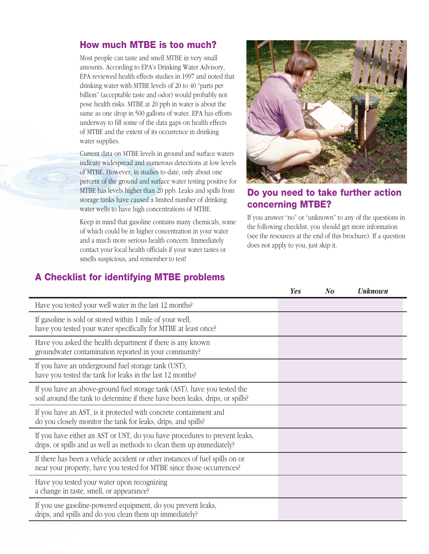### **How much MTBE is too much?**

Most people can taste and smell MTBE in very small amounts. According to EPA's Drinking Water Advisory, EPA reviewed health effects studies in 1997 and noted that drinking water with MTBE levels of 20 to 40 "parts per billion" (acceptable taste and odor) would probably not pose health risks. MTBE at 20 ppb in water is about the same as one drop in 500 gallons of water. EPA has efforts underway to fill some of the data gaps on health effects of MTBE and the extent of its occurrence in drinking water supplies.

Current data on MTBE levels in ground and surface waters indicate widespread and numerous detections at low levels of MTBE. However, in studies to date, only about one percent of the ground and surface water testing positive for MTBE has levels higher than 20 ppb. Leaks and spills from storage tanks have caused a limited number of drinking water wells to have high concentrations of MTBE.

Keep in mind that gasoline contains many chemicals, some of which could be in higher concentration in your water and a much more serious health concern. Immediately contact your local health officials if your water tastes or smells suspicious, and remember to test!



# **Do you need to take further action concerning MTBE?**

If you answer "no" or "unknown" to any of the questions in the following checklist, you should get more information (see the resources at the end of this brochure). If a question does not apply to you, just skip it.

# **A Checklist for identifying MTBE problems**

|                                                                                                                                                           | <b>Yes</b> | $N_{\boldsymbol{0}}$ | <b>Unknown</b> |
|-----------------------------------------------------------------------------------------------------------------------------------------------------------|------------|----------------------|----------------|
| Have you tested your well water in the last 12 months?                                                                                                    |            |                      |                |
| If gasoline is sold or stored within 1 mile of your well,<br>have you tested your water specifically for MTBE at least once?                              |            |                      |                |
| Have you asked the health department if there is any known<br>groundwater contamination reported in your community?                                       |            |                      |                |
| If you have an underground fuel storage tank (UST),<br>have you tested the tank for leaks in the last 12 months?                                          |            |                      |                |
| If you have an above-ground fuel storage tank (AST), have you tested the<br>soil around the tank to determine if there have been leaks, drips, or spills? |            |                      |                |
| If you have an AST, is it protected with concrete containment and<br>do you closely monitor the tank for leaks, drips, and spills?                        |            |                      |                |
| If you have either an AST or UST, do you have procedures to prevent leaks,<br>drips, or spills and as well as methods to clean them up immediately?       |            |                      |                |
| If there has been a vehicle accident or other instances of fuel spills on or<br>near your property, have you tested for MTBE since those occurrences?     |            |                      |                |
| Have you tested your water upon recognizing<br>a change in taste, smell, or appearance?                                                                   |            |                      |                |
| If you use gasoline-powered equipment, do you prevent leaks,<br>drips, and spills and do you clean them up immediately?                                   |            |                      |                |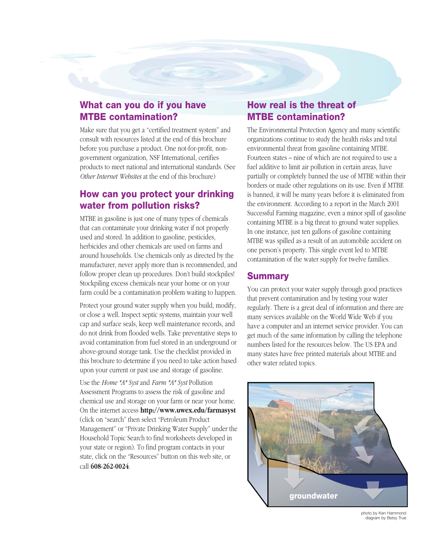## **What can you do if you have MTBE contamination?**

Make sure that you get a "certified treatment system" and consult with resources listed at the end of this brochure before you purchase a product. One not-for-profit, nongovernment organization, NSF International, certifies products to meet national and international standards. (See *Other Internet Websites* at the end of this brochure)

## **How can you protect your drinking water from pollution risks?**

MTBE in gasoline is just one of many types of chemicals that can contaminate your drinking water if not properly used and stored. In addition to gasoline, pesticides, herbicides and other chemicals are used on farms and around households. Use chemicals only as directed by the manufacturer, never apply more than is recommended, and follow proper clean up procedures. Don't build stockpiles! Stockpiling excess chemicals near your home or on your farm could be a contamination problem waiting to happen.

Protect your ground water supply when you build, modify, or close a well. Inspect septic systems, maintain your well cap and surface seals, keep well maintenance records, and do not drink from flooded wells. Take preventative steps to avoid contamination from fuel stored in an underground or above-ground storage tank. Use the checklist provided in this brochure to determine if you need to take action based upon your current or past use and storage of gasoline.

Use the *Home \*A\* Syst* and *Farm \*A\* Syst* Pollution Assessment Programs to assess the risk of gasoline and chemical use and storage on your farm or near your home. On the internet access **http://www.uwex.edu/farmasyst** (click on "search" then select "Petroleum Product Management" or "Private Drinking Water Supply" under the Household Topic Search to find worksheets developed in your state or region). To find program contacts in your state, click on the "Resources" button on this web site, or call **608-262-0024**.

## **How real is the threat of MTBE contamination?**

The Environmental Protection Agency and many scientific organizations continue to study the health risks and total environmental threat from gasoline containing MTBE. Fourteen states – nine of which are not required to use a fuel additive to limit air pollution in certain areas, have partially or completely banned the use of MTBE within their borders or made other regulations on its use. Even if MTBE is banned, it will be many years before it is eliminated from the environment. According to a report in the March 2001 Successful Farming magazine, even a minor spill of gasoline containing MTBE is a big threat to ground water supplies. In one instance, just ten gallons of gasoline containing MTBE was spilled as a result of an automobile accident on one person's property. This single event led to MTBE contamination of the water supply for twelve families.

#### **Summary**

You can protect your water supply through good practices that prevent contamination and by testing your water regularly. There is a great deal of information and there are many services available on the World Wide Web if you have a computer and an internet service provider. You can get much of the same information by calling the telephone numbers listed for the resources below. The US EPA and many states have free printed materials about MTBE and other water related topics.



photo by Ken Hammond diagram by Betsy True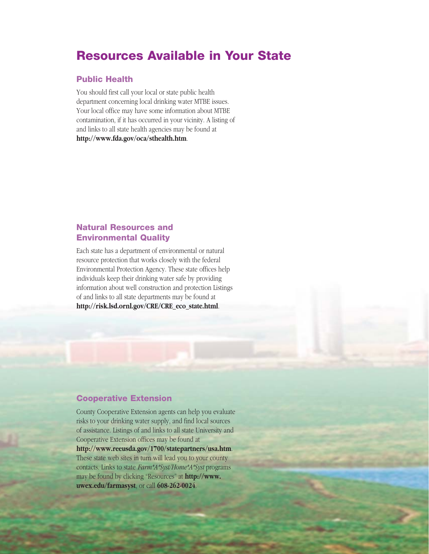# **Resources Available in Your State**

#### **Public Health**

You should first call your local or state public health department concerning local drinking water MTBE issues. Your local office may have some information about MTBE contamination, if it has occurred in your vicinity. A listing of and links to all state health agencies may be found at **http://www.fda.gov/oca/sthealth.htm**.

#### **Natural Resources and Environmental Quality**

Each state has a department of environmental or natural resource protection that works closely with the federal Environmental Protection Agency. These state offices help individuals keep their drinking water safe by providing information about well construction and protection Listings of and links to all state departments may be found at **http://risk.lsd.ornl.gov/CRE/CRE\_eco\_state.html**.

#### **Cooperative Extension**

County Cooperative Extension agents can help you evaluate risks to your drinking water supply, and find local sources of assistance. Listings of and links to all state University and Cooperative Extension offices may be found at **http://www.reeusda.gov/1700/statepartners/usa.htm**. These state web sites in turn will lead you to your county contacts. Links to state *Farm\*A\*Syst/Home\*A\*Syst* programs may be found by clicking "Resources" at **http://www. uwex.edu/farmasyst**, or call **608-262-0024**.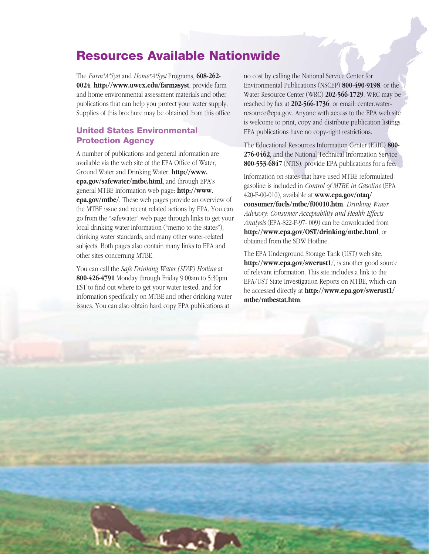# **Resources Available Nationwide**

The *Farm\*A\*Syst* and *Home\*A\*Syst* Programs, **608-262- 0024**, **http://www.uwex.edu/farmasyst**, provide farm and home environmental assessment materials and other publications that can help you protect your water supply. Supplies of this brochure may be obtained from this office.

#### **United States Environmental Protection Agency**

A number of publications and general information are available via the web site of the EPA Office of Water, Ground Water and Drinking Water: **http://www. epa.gov/safewater/mtbe.html**, and through EPA's general MTBE information web page: **http://www. epa.gov/mtbe/**. These web pages provide an overview of the MTBE issue and recent related actions by EPA. You can go from the "safewater" web page through links to get your local drinking water information ("memo to the states"), drinking water standards, and many other water-related subjects. Both pages also contain many links to EPA and other sites concerning MTBE.

You can call the *Safe Drinking Water (SDW) Hotline* at **800-426-4791** Monday through Friday 9:00am to 5:30pm EST to find out where to get your water tested, and for information specifically on MTBE and other drinking water issues. You can also obtain hard copy EPA publications at

no cost by calling the National Service Center for Environmental Publications (NSCEP) **800-490-9198**, or the Water Resource Center (WRC) **202-566-1729**. WRC may be reached by fax at **202-566-1736**; or email: center.waterresource@epa.gov. Anyone with access to the EPA web site is welcome to print, copy and distribute publication listings. EPA publications have no copy-right restrictions.

The Educational Resources Information Center (ERIC) **800- 276-0462**, and the National Technical Information Service **800-553-6847** (NTIS), provide EPA publications for a fee.

Information on states that have used MTBE reformulated gasoline is included in *Control of MTBE in Gasoline* (EPA 420-F-00-010), available at **www.epa.gov/otaq/ consumer/fuels/mtbe/f00010.htm**. *Drinking Water Advisory: Consumer Acceptability and Health Effects Analysis* (EPA-822-F-97- 009) can be downloaded from **http://www.epa.gov/OST/drinking/mtbe.html**, or obtained from the SDW Hotline.

The EPA Underground Storage Tank (UST) web site, **http://www.epa.gov/swerust1**/, is another good source of relevant information. This site includes a link to the EPA/UST State Investigation Reports on MTBE, which can be accessed directly at **http://www.epa.gov/swerust1/ mtbe/mtbestat.htm**.